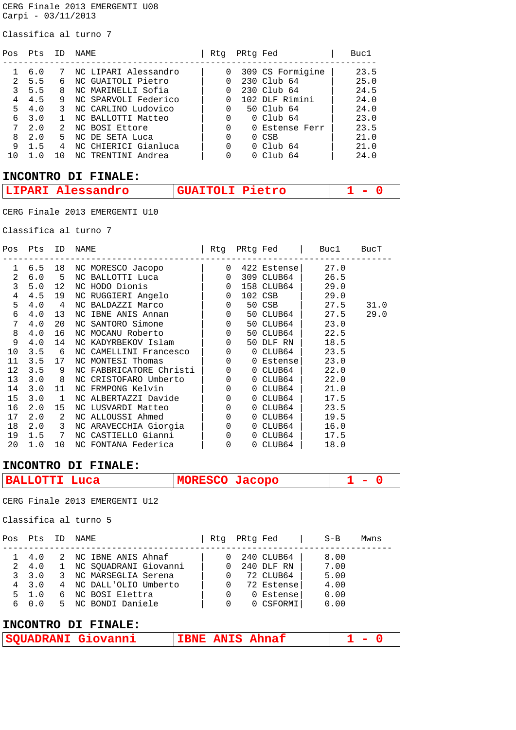CERG Finale 2013 EMERGENTI U08 Carpi - 03/11/2013

Classifica al turno 7

| Pts |    | NAME                 | Rtq |  | Buc1                                                                                                                                                                       |
|-----|----|----------------------|-----|--|----------------------------------------------------------------------------------------------------------------------------------------------------------------------------|
|     |    |                      |     |  |                                                                                                                                                                            |
| 6.0 |    | NC LIPARI Alessandro | 0   |  | 23.5                                                                                                                                                                       |
| 5.5 |    | NC GUAITOLI Pietro   |     |  | 25.0                                                                                                                                                                       |
| 5.5 | 8  | NC MARINELLI Sofia   |     |  | 24.5                                                                                                                                                                       |
| 4.5 | 9  | NC SPARVOLI Federico | 0   |  | 24.0                                                                                                                                                                       |
| 4.0 |    | NC CARLINO Ludovico  |     |  | 24.0                                                                                                                                                                       |
| 3.0 |    | NC BALLOTTI Matteo   | 0   |  | 23.0                                                                                                                                                                       |
| 2.0 | 2  | NC BOSI Ettore       | 0   |  | 23.5                                                                                                                                                                       |
| 2.0 | 5. | NC DE SETA Luca      | 0   |  | 21.0                                                                                                                                                                       |
| 1.5 | 4  | NC CHIERICI Gianluca | 0   |  | 21.0                                                                                                                                                                       |
|     |    | NC TRENTINI Andrea   |     |  | 24.0                                                                                                                                                                       |
|     |    |                      |     |  | PRtg Fed<br>309 CS Formigine<br>230 Club 64<br>230 Club 64<br>102 DLF Rimini<br>50 Club 64<br>$0$ Club $64$<br>0 Estense Ferr<br>$0$ CSB<br>$0$ Club $64$<br>$0$ Club $64$ |

## **INCONTRO DI FINALE:**

| ר דו<br>$\mathbf{A} \mathbf{B}$ | etro<br>____<br>_____ |  |
|---------------------------------|-----------------------|--|
|                                 |                       |  |

CERG Finale 2013 EMERGENTI U10

Classifica al turno 7

| Pos            | Pts       | ID                         | NAME                    | Rtq         | PRtg Fed    | Buc1 | BucT |
|----------------|-----------|----------------------------|-------------------------|-------------|-------------|------|------|
| $\mathbf 1$    | 6.5       | 18                         | NC MORESCO Jacopo       | $\Omega$    | 422 Estense | 27.0 |      |
| $\overline{2}$ | 6.0       | 5                          | NC BALLOTTI Luca        | $\mathbf 0$ | 309 CLUB64  | 26.5 |      |
| 3              | 5.0       | 12                         | NC HODO Dionis          | $\mathbf 0$ | 158 CLUB64  | 29.0 |      |
| 4              | 4.5       | 19                         | NC RUGGIERI Angelo      | $\mathbf 0$ | 102 CSB     | 29.0 |      |
| 5              | 4.0       | 4                          | NC BALDAZZI Marco       | 0           | 50 CSB      | 27.5 | 31.0 |
| 6              | 4.0       | 13                         | NC IBNE ANIS Annan      | $\Omega$    | 50 CLUB64   | 27.5 | 29.0 |
| 7              | 4.0       | 20                         | NC SANTORO Simone       | $\mathbf 0$ | 50 CLUB64   | 23.0 |      |
| 8              | 4.0       | 16                         | NC MOCANU Roberto       | 0           | 50 CLUB64   | 22.5 |      |
| 9              | 4.0       | 14                         | NC KADYRBEKOV Islam     | $\Omega$    | 50 DLF RN   | 18.5 |      |
| 10             | 3.5       | 6                          | NC CAMELLINI Francesco  | $\Omega$    | 0 CLUB64    | 23.5 |      |
| 11             | 3.5       | 17                         | NC MONTESI Thomas       | $\mathbf 0$ | 0 Estense   | 23.0 |      |
| 12             | 3.5       | 9                          | NC FABBRICATORE Christi | $\Omega$    | 0 CLUB64    | 22.0 |      |
| 13             | $3.0 \ 8$ |                            | NC CRISTOFARO Umberto   | $\Omega$    | 0 CLUB64    | 22.0 |      |
| 14             | 3.0       | 11                         | NC FRMPONG Kelvin       | $\mathbf 0$ | 0 CLUB64    | 21.0 |      |
| 15             | 3.0       | $\mathbf{1}$               | NC ALBERTAZZI Davide    | $\Omega$    | 0 CLUB64    | 17.5 |      |
| 16             | 2.0       | 15                         | NC LUSVARDI Matteo      | $\mathbf 0$ | 0 CLUB64    | 23.5 |      |
| 17             | 2.0       | $\overline{\phantom{a}}^2$ | NC ALLOUSSI Ahmed       | $\Omega$    | 0 CLUB64    | 19.5 |      |
| 18             | $2.0\ 3$  |                            | NC ARAVECCHIA Giorgia   | $\Omega$    | 0 CLUB64    | 16.0 |      |
| 19             | 1.5       | 7                          | NC CASTIELLO Gianni     | $\Omega$    | 0 CLUB64    | 17.5 |      |
| 20             | 1.0       | 10 <sup>1</sup>            | NC FONTANA Federica     | $\mathbf 0$ | 0 CLUB64    | 18.0 |      |

### **INCONTRO DI FINALE:**

| <b>BALLOTTI Luca</b> | MORESCO Jacopo |  |
|----------------------|----------------|--|
|                      |                |  |

CERG Finale 2013 EMERGENTI U12

Classifica al turno 5

| 240 CLUB64<br>2 NC IBNE ANIS Ahnaf<br>8.00<br>$1 \quad 4 \quad 0$               |  |
|---------------------------------------------------------------------------------|--|
| 7.00<br>1 NC SOUADRANI Giovanni<br>240 DLF RN<br>2 4.0<br>$\Omega$              |  |
| 72 CLUB64<br>5.00<br>3, 3, 0<br>3 NC MARSEGLIA Serena<br>$\Omega$               |  |
| 4.00<br>72 Estense<br>$4 \quad 3 \quad 0$<br>4 NC DALL'OLIO Umberto<br>$\Omega$ |  |
| 0.00<br>6 NC BOSI Elettra<br>$5 \quad 1.0$<br>0 Estense                         |  |
| 5 NC BONDI Daniele<br>0 CSFORMI<br>0.00<br>6 0.0<br>$\Omega$                    |  |

## **INCONTRO DI FINALE:**